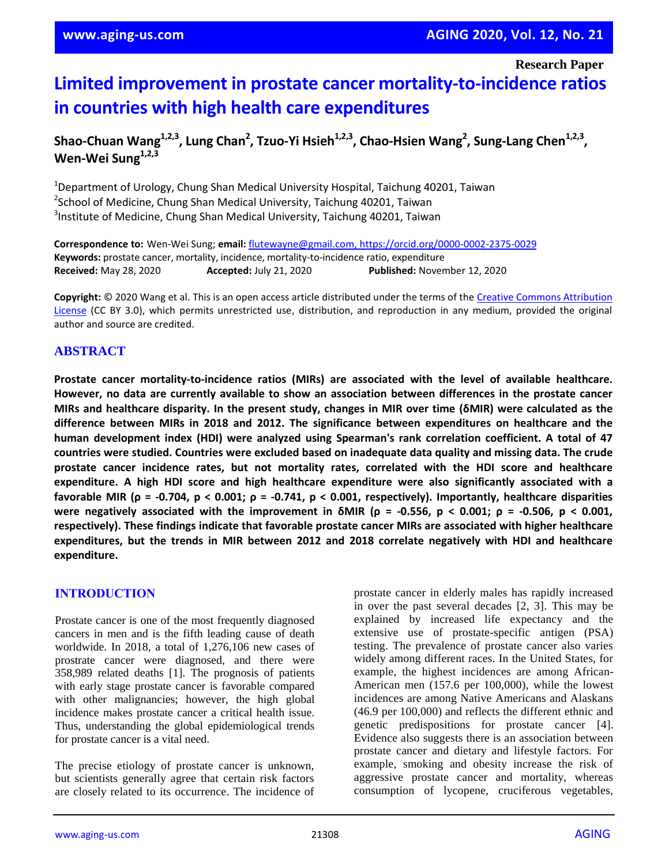**Research Paper**

# **Limited improvement in prostate cancer mortality-to-incidence ratios in countries with high health care expenditures**

## **Shao-Chuan Wang1,2,3, Lung Chan<sup>2</sup> , Tzuo-Yi Hsieh1,2,3, Chao-Hsien Wang<sup>2</sup> , Sung-Lang Chen1,2,3 , Wen-Wei Sung1,2,3**

<sup>1</sup>Department of Urology, Chung Shan Medical University Hospital, Taichung 40201, Taiwan <sup>2</sup>School of Medicine, Chung Shan Medical University, Taichung 40201, Taiwan 3 Institute of Medicine, Chung Shan Medical University, Taichung 40201, Taiwan

**Correspondence to:** Wen-Wei Sung; **email:** flutewayne@gmail.com, https://orcid.org/0000-0002-2375-0029 **Keywords:** prostate cancer, mortality, incidence, mortality-to-incidence ratio, expenditure **Received:** May 28, 2020 **Accepted:** July 21, 2020 **Published:** November 12, 2020

**Copyright:** © 2020 Wang et al. This is an open access article distributed under the terms of the Creative Commons Attribution License (CC BY 3.0), which permits unrestricted use, distribution, and reproduction in any medium, provided the original author and source are credited.

## **ABSTRACT**

**Prostate cancer mortality-to-incidence ratios (MIRs) are associated with the level of available healthcare. However, no data are currently available to show an association between differences in the prostate cancer** MIRs and healthcare disparity. In the present study, changes in MIR over time (6MIR) were calculated as the **difference between MIRs in 2018 and 2012. The significance between expenditures on healthcare and the human development index (HDI) were analyzed using Spearman's rank correlation coefficient. A total of 47 countries were studied. Countries were excluded based on inadequate data quality and missing data. The crude prostate cancer incidence rates, but not mortality rates, correlated with the HDI score and healthcare expenditure. A high HDI score and high healthcare expenditure were also significantly associated with a** favorable MIR ( $\rho$  = -0.704,  $p < 0.001$ ;  $\rho$  = -0.741,  $p < 0.001$ , respectively). Importantly, healthcare disparities were negatively associated with the improvement in  $\delta MIR$  ( $\rho = -0.556$ ,  $p < 0.001$ ;  $\rho = -0.506$ ,  $p < 0.001$ , **respectively). These findings indicate that favorable prostate cancer MIRs are associated with higher healthcare expenditures, but the trends in MIR between 2012 and 2018 correlate negatively with HDI and healthcare expenditure.**

#### **INTRODUCTION**

Prostate cancer is one of the most frequently diagnosed cancers in men and is the fifth leading cause of death worldwide. In 2018, a total of 1,276,106 new cases of prostrate cancer were diagnosed, and there were 358,989 related deaths [1]. The prognosis of patients with early stage prostate cancer is favorable compared with other malignancies; however, the high global incidence makes prostate cancer a critical health issue. Thus, understanding the global epidemiological trends for prostate cancer is a vital need.

The precise etiology of prostate cancer is unknown, but scientists generally agree that certain risk factors are closely related to its occurrence. The incidence of prostate cancer in elderly males has rapidly increased in over the past several decades [2, 3]. This may be explained by increased life expectancy and the extensive use of prostate-specific antigen (PSA) testing. The prevalence of prostate cancer also varies widely among different races. In the United States, for example, the highest incidences are among African-American men (157.6 per 100,000), while the lowest incidences are among Native Americans and Alaskans (46.9 per 100,000) and reflects the different ethnic and genetic predispositions for prostate cancer [4]. Evidence also suggests there is an association between prostate cancer and dietary and lifestyle factors. For example, smoking and obesity increase the risk of aggressive prostate cancer and mortality, whereas consumption of lycopene, cruciferous vegetables,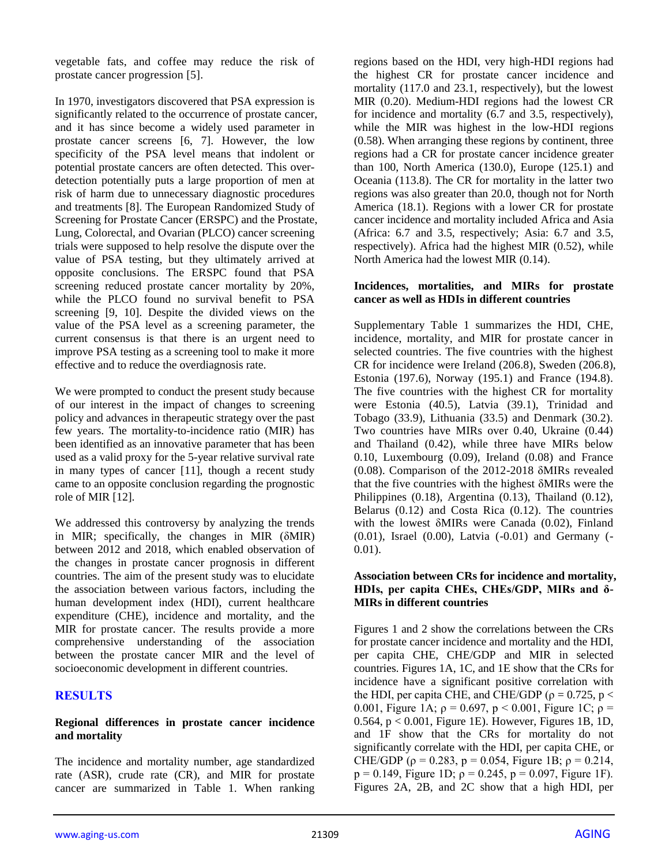vegetable fats, and coffee may reduce the risk of prostate cancer progression [5].

In 1970, investigators discovered that PSA expression is significantly related to the occurrence of prostate cancer, and it has since become a widely used parameter in prostate cancer screens [6, 7]. However, the low specificity of the PSA level means that indolent or potential prostate cancers are often detected. This overdetection potentially puts a large proportion of men at risk of harm due to unnecessary diagnostic procedures and treatments [8]. The European Randomized Study of Screening for Prostate Cancer (ERSPC) and the Prostate, Lung, Colorectal, and Ovarian (PLCO) cancer screening trials were supposed to help resolve the dispute over the value of PSA testing, but they ultimately arrived at opposite conclusions. The ERSPC found that PSA screening reduced prostate cancer mortality by 20%, while the PLCO found no survival benefit to PSA screening [9, 10]. Despite the divided views on the value of the PSA level as a screening parameter, the current consensus is that there is an urgent need to improve PSA testing as a screening tool to make it more effective and to reduce the overdiagnosis rate.

We were prompted to conduct the present study because of our interest in the impact of changes to screening policy and advances in therapeutic strategy over the past few years. The mortality-to-incidence ratio (MIR) has been identified as an innovative parameter that has been used as a valid proxy for the 5-year relative survival rate in many types of cancer [11], though a recent study came to an opposite conclusion regarding the prognostic role of MIR [12].

We addressed this controversy by analyzing the trends in MIR; specifically, the changes in MIR (δMIR) between 2012 and 2018, which enabled observation of the changes in prostate cancer prognosis in different countries. The aim of the present study was to elucidate the association between various factors, including the human development index (HDI), current healthcare expenditure (CHE), incidence and mortality, and the MIR for prostate cancer. The results provide a more comprehensive understanding of the association between the prostate cancer MIR and the level of socioeconomic development in different countries.

#### **RESULTS**

#### **Regional differences in prostate cancer incidence and mortality**

The incidence and mortality number, age standardized rate (ASR), crude rate (CR), and MIR for prostate cancer are summarized in Table 1. When ranking regions based on the HDI, very high-HDI regions had the highest CR for prostate cancer incidence and mortality (117.0 and 23.1, respectively), but the lowest MIR (0.20). Medium-HDI regions had the lowest CR for incidence and mortality (6.7 and 3.5, respectively), while the MIR was highest in the low-HDI regions (0.58). When arranging these regions by continent, three regions had a CR for prostate cancer incidence greater than 100, North America (130.0), Europe (125.1) and Oceania (113.8). The CR for mortality in the latter two regions was also greater than 20.0, though not for North America (18.1). Regions with a lower CR for prostate cancer incidence and mortality included Africa and Asia (Africa: 6.7 and 3.5, respectively; Asia: 6.7 and 3.5, respectively). Africa had the highest MIR (0.52), while North America had the lowest MIR (0.14).

#### **Incidences, mortalities, and MIRs for prostate cancer as well as HDIs in different countries**

Supplementary Table 1 summarizes the HDI, CHE, incidence, mortality, and MIR for prostate cancer in selected countries. The five countries with the highest CR for incidence were Ireland (206.8), Sweden (206.8), Estonia (197.6), Norway (195.1) and France (194.8). The five countries with the highest CR for mortality were Estonia (40.5), Latvia (39.1), Trinidad and Tobago (33.9), Lithuania (33.5) and Denmark (30.2). Two countries have MIRs over 0.40, Ukraine (0.44) and Thailand (0.42), while three have MIRs below 0.10, Luxembourg (0.09), Ireland (0.08) and France (0.08). Comparison of the 2012-2018 δMIRs revealed that the five countries with the highest δMIRs were the Philippines (0.18), Argentina (0.13), Thailand (0.12), Belarus (0.12) and Costa Rica (0.12). The countries with the lowest δMIRs were Canada (0.02), Finland (0.01), Israel (0.00), Latvia (-0.01) and Germany (- 0.01).

#### **Association between CRs for incidence and mortality, HDIs, per capita CHEs, CHEs/GDP, MIRs and δ-MIRs in different countries**

Figures 1 and 2 show the correlations between the CRs for prostate cancer incidence and mortality and the HDI, per capita CHE, CHE/GDP and MIR in selected countries. Figures 1A, 1C, and 1E show that the CRs for incidence have a significant positive correlation with the HDI, per capita CHE, and CHE/GDP ( $\rho = 0.725$ ,  $p <$ 0.001, Figure 1A;  $\rho = 0.697$ ,  $p < 0.001$ , Figure 1C;  $\rho =$  $0.564$ ,  $p < 0.001$ , Figure 1E). However, Figures 1B, 1D, and 1F show that the CRs for mortality do not significantly correlate with the HDI, per capita CHE, or CHE/GDP ( $\rho = 0.283$ ,  $p = 0.054$ , Figure 1B;  $\rho = 0.214$ , p = 0.149, Figure 1D;  $\rho = 0.245$ , p = 0.097, Figure 1F). Figures 2A, 2B, and 2C show that a high HDI, per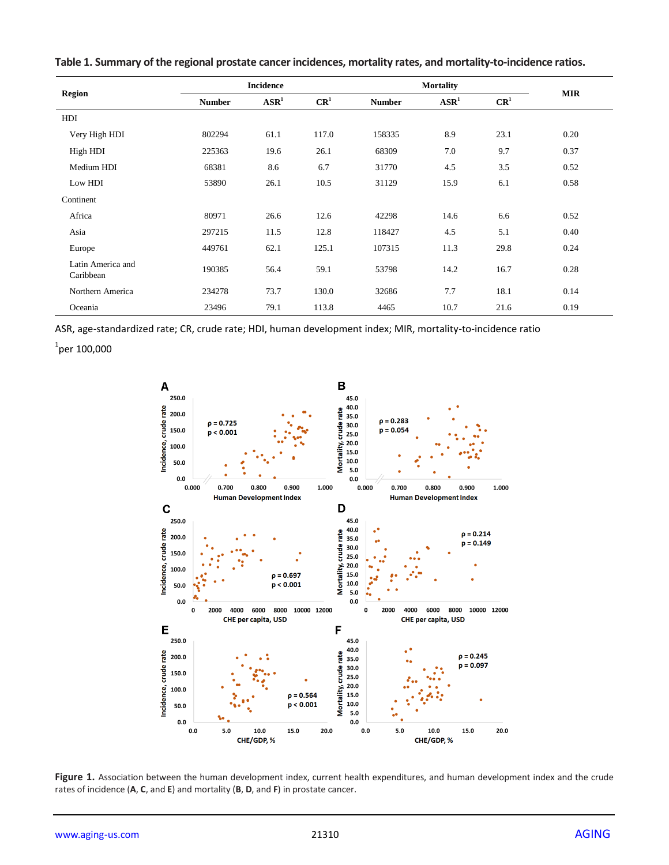| <b>Region</b>                  | <b>Incidence</b> |                  |                 | <b>Mortality</b> |                  |                 |            |
|--------------------------------|------------------|------------------|-----------------|------------------|------------------|-----------------|------------|
|                                | <b>Number</b>    | $\mathbf{ASR}^1$ | CR <sup>1</sup> | <b>Number</b>    | $\mathbf{ASR}^1$ | CR <sup>1</sup> | <b>MIR</b> |
| HDI                            |                  |                  |                 |                  |                  |                 |            |
| Very High HDI                  | 802294           | 61.1             | 117.0           | 158335           | 8.9              | 23.1            | 0.20       |
| High HDI                       | 225363           | 19.6             | 26.1            | 68309            | 7.0              | 9.7             | 0.37       |
| Medium HDI                     | 68381            | 8.6              | 6.7             | 31770            | 4.5              | 3.5             | 0.52       |
| Low HDI                        | 53890            | 26.1             | 10.5            | 31129            | 15.9             | 6.1             | 0.58       |
| Continent                      |                  |                  |                 |                  |                  |                 |            |
| Africa                         | 80971            | 26.6             | 12.6            | 42298            | 14.6             | 6.6             | 0.52       |
| Asia                           | 297215           | 11.5             | 12.8            | 118427           | 4.5              | 5.1             | 0.40       |
| Europe                         | 449761           | 62.1             | 125.1           | 107315           | 11.3             | 29.8            | 0.24       |
| Latin America and<br>Caribbean | 190385           | 56.4             | 59.1            | 53798            | 14.2             | 16.7            | 0.28       |
| Northern America               | 234278           | 73.7             | 130.0           | 32686            | 7.7              | 18.1            | 0.14       |
| Oceania                        | 23496            | 79.1             | 113.8           | 4465             | 10.7             | 21.6            | 0.19       |

**Table 1. Summary of the regional prostate cancer incidences, mortality rates, and mortality-to-incidence ratios.**

ASR, age-standardized rate; CR, crude rate; HDI, human development index; MIR, mortality-to-incidence ratio

 $^1$ per 100,000



Figure 1. Association between the human development index, current health expenditures, and human development index and the crude rates of incidence (**A**, **C**, and **E**) and mortality (**B**, **D**, and **F**) in prostate cancer.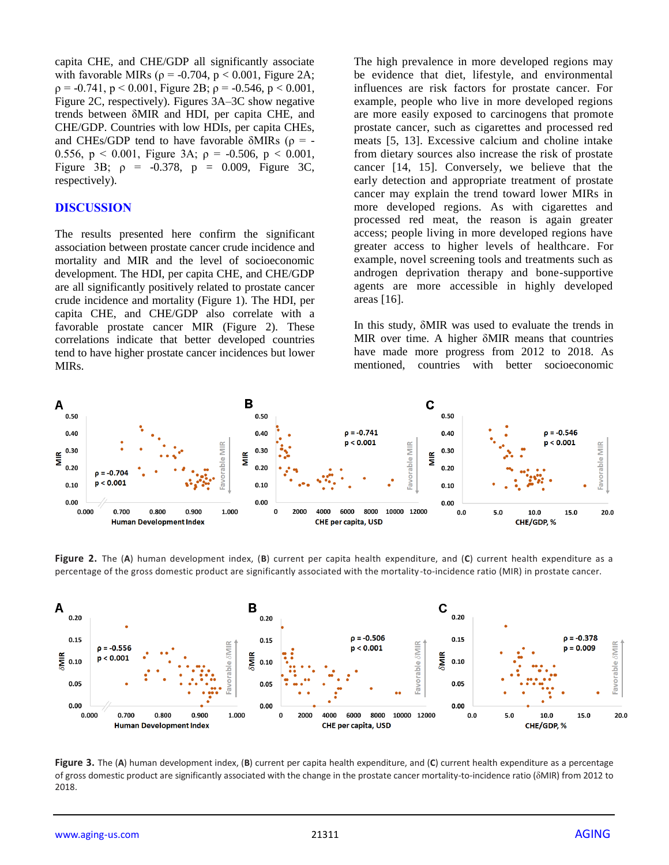capita CHE, and CHE/GDP all significantly associate with favorable MIRs ( $\rho = -0.704$ ,  $p < 0.001$ , Figure 2A;  $p = -0.741$ ,  $p < 0.001$ , Figure 2B;  $p = -0.546$ ,  $p < 0.001$ , Figure 2C, respectively). Figures 3A–3C show negative trends between δMIR and HDI, per capita CHE, and CHE/GDP. Countries with low HDIs, per capita CHEs, and CHEs/GDP tend to have favorable  $\delta MIRs$  ( $\rho = -$ 0.556,  $p < 0.001$ , Figure 3A;  $\rho = -0.506$ ,  $p < 0.001$ , Figure 3B;  $\rho = -0.378$ ,  $p = 0.009$ , Figure 3C, respectively).

#### **DISCUSSION**

The results presented here confirm the significant association between prostate cancer crude incidence and mortality and MIR and the level of socioeconomic development. The HDI, per capita CHE, and CHE/GDP are all significantly positively related to prostate cancer crude incidence and mortality (Figure 1). The HDI, per capita CHE, and CHE/GDP also correlate with a favorable prostate cancer MIR (Figure 2). These correlations indicate that better developed countries tend to have higher prostate cancer incidences but lower MIRs.

The high prevalence in more developed regions may be evidence that diet, lifestyle, and environmental influences are risk factors for prostate cancer. For example, people who live in more developed regions are more easily exposed to carcinogens that promote prostate cancer, such as cigarettes and processed red meats [5, 13]. Excessive calcium and choline intake from dietary sources also increase the risk of prostate cancer [14, 15]. Conversely, we believe that the early detection and appropriate treatment of prostate cancer may explain the trend toward lower MIRs in more developed regions. As with cigarettes and processed red meat, the reason is again greater access; people living in more developed regions have greater access to higher levels of healthcare. For example, novel screening tools and treatments such as androgen deprivation therapy and bone-supportive agents are more accessible in highly developed areas [16].

In this study, δMIR was used to evaluate the trends in MIR over time. A higher δMIR means that countries have made more progress from 2012 to 2018. As mentioned, countries with better socioeconomic



**Figure 2.** The (**A**) human development index, (**B**) current per capita health expenditure, and (**C**) current health expenditure as a percentage of the gross domestic product are significantly associated with the mortality-to-incidence ratio (MIR) in prostate cancer.



**Figure 3.** The (**A**) human development index, (**B**) current per capita health expenditure, and (**C**) current health expenditure as a percentage of gross domestic product are significantly associated with the change in the prostate cancer mortality-to-incidence ratio (δMIR) from 2012 to 2018.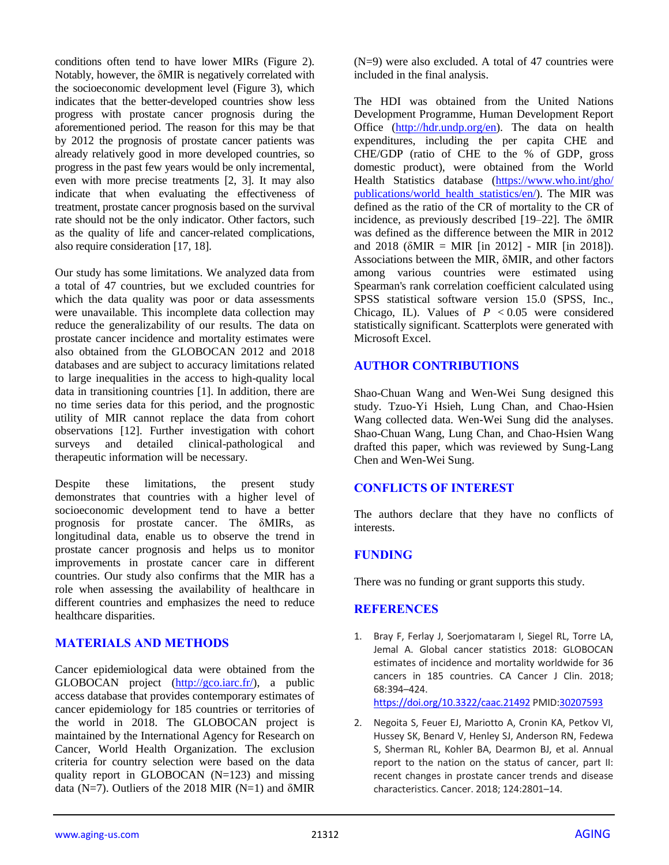conditions often tend to have lower MIRs (Figure 2). Notably, however, the δMIR is negatively correlated with the socioeconomic development level (Figure 3), which indicates that the better-developed countries show less progress with prostate cancer prognosis during the aforementioned period. The reason for this may be that by 2012 the prognosis of prostate cancer patients was already relatively good in more developed countries, so progress in the past few years would be only incremental, even with more precise treatments [2, 3]. It may also indicate that when evaluating the effectiveness of treatment, prostate cancer prognosis based on the survival rate should not be the only indicator. Other factors, such as the quality of life and cancer-related complications, also require consideration [17, 18].

Our study has some limitations. We analyzed data from a total of 47 countries, but we excluded countries for which the data quality was poor or data assessments were unavailable. This incomplete data collection may reduce the generalizability of our results. The data on prostate cancer incidence and mortality estimates were also obtained from the GLOBOCAN 2012 and 2018 databases and are subject to accuracy limitations related to large inequalities in the access to high-quality local data in transitioning countries [1]. In addition, there are no time series data for this period, and the prognostic utility of MIR cannot replace the data from cohort observations [12]. Further investigation with cohort surveys and detailed clinical-pathological and therapeutic information will be necessary.

Despite these limitations, the present study demonstrates that countries with a higher level of socioeconomic development tend to have a better prognosis for prostate cancer. The δMIRs, as longitudinal data, enable us to observe the trend in prostate cancer prognosis and helps us to monitor improvements in prostate cancer care in different countries. Our study also confirms that the MIR has a role when assessing the availability of healthcare in different countries and emphasizes the need to reduce healthcare disparities.

## **MATERIALS AND METHODS**

Cancer epidemiological data were obtained from the GLOBOCAN project [\(http://gco.iarc.fr/\)](http://gco.iarc.fr/), a public access database that provides contemporary estimates of cancer epidemiology for 185 countries or territories of the world in 2018. The GLOBOCAN project is maintained by the International Agency for Research on Cancer, World Health Organization. The exclusion criteria for country selection were based on the data quality report in GLOBOCAN (N=123) and missing data (N=7). Outliers of the 2018 MIR (N=1) and  $\delta$ MIR

(N=9) were also excluded. A total of 47 countries were included in the final analysis.

The HDI was obtained from the United Nations Development Programme, Human Development Report Office [\(http://hdr.undp.org/en\)](http://hdr.undp.org/en). The data on health expenditures, including the per capita CHE and CHE/GDP (ratio of CHE to the % of GDP, gross domestic product), were obtained from the World Health Statistics database [\(https://www.who.int/gho/](https://www.who.int/gho/publications/world_health_statistics/en/) [publications/world\\_health\\_statistics/en/\)](https://www.who.int/gho/publications/world_health_statistics/en/). The MIR was defined as the ratio of the CR of mortality to the CR of incidence, as previously described [19–22]. The δMIR was defined as the difference between the MIR in 2012 and 2018 ( $\delta MIR = MIR$  [in 2012] - MIR [in 2018]). Associations between the MIR, δMIR, and other factors among various countries were estimated using Spearman's rank correlation coefficient calculated using SPSS statistical software version 15.0 (SPSS, Inc., Chicago, IL). Values of  $P < 0.05$  were considered statistically significant. Scatterplots were generated with Microsoft Excel.

## **AUTHOR CONTRIBUTIONS**

Shao-Chuan Wang and Wen-Wei Sung designed this study. Tzuo-Yi Hsieh, Lung Chan, and Chao-Hsien Wang collected data. Wen-Wei Sung did the analyses. Shao-Chuan Wang, Lung Chan, and Chao-Hsien Wang drafted this paper, which was reviewed by Sung-Lang Chen and Wen-Wei Sung.

## **CONFLICTS OF INTEREST**

The authors declare that they have no conflicts of interests.

## **FUNDING**

There was no funding or grant supports this study.

## **REFERENCES**

1. Bray F, Ferlay J, Soerjomataram I, Siegel RL, Torre LA, Jemal A. Global cancer statistics 2018: GLOBOCAN estimates of incidence and mortality worldwide for 36 cancers in 185 countries. CA Cancer J Clin. 2018; 68:394–424.

<https://doi.org/10.3322/caac.21492> PMID[:30207593](https://pubmed.ncbi.nlm.nih.gov/30207593)

2. Negoita S, Feuer EJ, Mariotto A, Cronin KA, Petkov VI, Hussey SK, Benard V, Henley SJ, Anderson RN, Fedewa S, Sherman RL, Kohler BA, Dearmon BJ, et al. Annual report to the nation on the status of cancer, part II: recent changes in prostate cancer trends and disease characteristics. Cancer. 2018; 124:2801–14.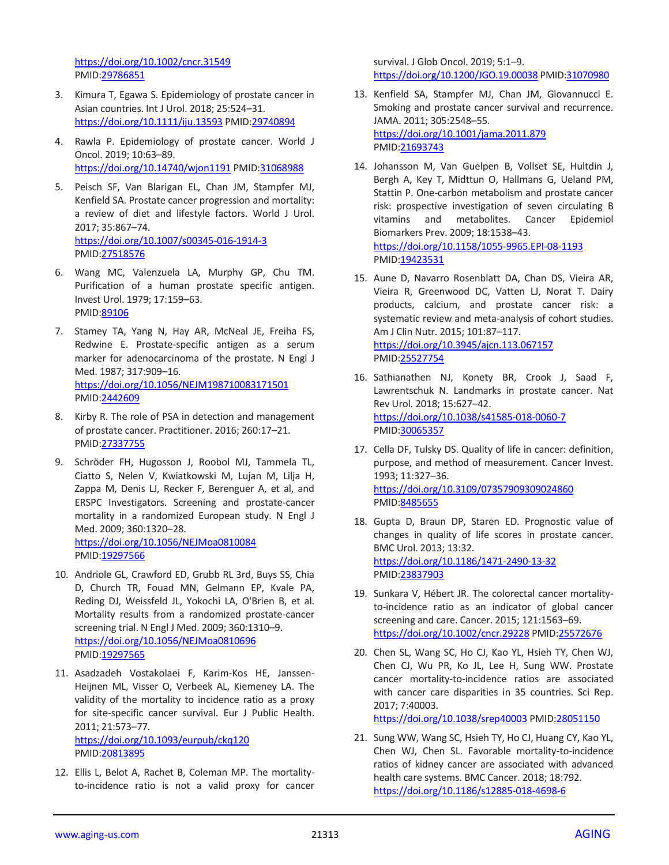<https://doi.org/10.1002/cncr.31549> PMID[:29786851](https://pubmed.ncbi.nlm.nih.gov/29786851)

- 3. Kimura T, Egawa S. Epidemiology of prostate cancer in Asian countries. Int J Urol. 2018; 25:524–31. <https://doi.org/10.1111/iju.13593> PMI[D:29740894](https://pubmed.ncbi.nlm.nih.gov/29740894)
- 4. Rawla P. Epidemiology of prostate cancer. World J Oncol. 2019; 10:63–89. <https://doi.org/10.14740/wjon1191> PMID[:31068988](https://pubmed.ncbi.nlm.nih.gov/31068988)
- 5. Peisch SF, Van Blarigan EL, Chan JM, Stampfer MJ, Kenfield SA. Prostate cancer progression and mortality: a review of diet and lifestyle factors. World J Urol. 2017; 35:867–74. <https://doi.org/10.1007/s00345-016-1914-3> PMID[:27518576](https://pubmed.ncbi.nlm.nih.gov/27518576)
- 6. Wang MC, Valenzuela LA, Murphy GP, Chu TM. Purification of a human prostate specific antigen. Invest Urol. 1979; 17:159–63. PMID[:89106](https://pubmed.ncbi.nlm.nih.gov/89106)
- 7. Stamey TA, Yang N, Hay AR, McNeal JE, Freiha FS, Redwine E. Prostate-specific antigen as a serum marker for adenocarcinoma of the prostate. N Engl J Med. 1987; 317:909–16. <https://doi.org/10.1056/NEJM198710083171501> PMID[:2442609](https://pubmed.ncbi.nlm.nih.gov/2442609)
- 8. Kirby R. The role of PSA in detection and management of prostate cancer. Practitioner. 2016; 260:17–21. PMID[:27337755](https://pubmed.ncbi.nlm.nih.gov/27337755)
- 9. Schröder FH, Hugosson J, Roobol MJ, Tammela TL, Ciatto S, Nelen V, Kwiatkowski M, Lujan M, Lilja H, Zappa M, Denis LJ, Recker F, Berenguer A, et al, and ERSPC Investigators. Screening and prostate-cancer mortality in a randomized European study. N Engl J Med. 2009; 360:1320–28. <https://doi.org/10.1056/NEJMoa0810084> PMID[:19297566](https://pubmed.ncbi.nlm.nih.gov/19297566)
- 10. Andriole GL, Crawford ED, Grubb RL 3rd, Buys SS, Chia D, Church TR, Fouad MN, Gelmann EP, Kvale PA, Reding DJ, Weissfeld JL, Yokochi LA, O'Brien B, et al. Mortality results from a randomized prostate-cancer screening trial. N Engl J Med. 2009; 360:1310–9. <https://doi.org/10.1056/NEJMoa0810696> PMID[:19297565](https://pubmed.ncbi.nlm.nih.gov/19297565)
- 11. Asadzadeh Vostakolaei F, Karim-Kos HE, Janssen-Heijnen ML, Visser O, Verbeek AL, Kiemeney LA. The validity of the mortality to incidence ratio as a proxy for site-specific cancer survival. Eur J Public Health. 2011; 21:573–77. <https://doi.org/10.1093/eurpub/ckq120>

PMID[:20813895](https://pubmed.ncbi.nlm.nih.gov/20813895)

12. Ellis L, Belot A, Rachet B, Coleman MP. The mortalityto-incidence ratio is not a valid proxy for cancer survival. J Glob Oncol. 2019; 5:1–9. <https://doi.org/10.1200/JGO.19.00038> PMI[D:31070980](https://pubmed.ncbi.nlm.nih.gov/31070980)

- 13. Kenfield SA, Stampfer MJ, Chan JM, Giovannucci E. Smoking and prostate cancer survival and recurrence. JAMA. 2011; 305:2548–55. <https://doi.org/10.1001/jama.2011.879> PMI[D:21693743](https://pubmed.ncbi.nlm.nih.gov/21693743)
- 14. Johansson M, Van Guelpen B, Vollset SE, Hultdin J, Bergh A, Key T, Midttun O, Hallmans G, Ueland PM, Stattin P. One-carbon metabolism and prostate cancer risk: prospective investigation of seven circulating B vitamins and metabolites. Cancer Epidemiol Biomarkers Prev. 2009; 18:1538–43. <https://doi.org/10.1158/1055-9965.EPI-08-1193> PMI[D:19423531](https://pubmed.ncbi.nlm.nih.gov/19423531)
- 15. Aune D, Navarro Rosenblatt DA, Chan DS, Vieira AR, Vieira R, Greenwood DC, Vatten LJ, Norat T. Dairy products, calcium, and prostate cancer risk: a systematic review and meta-analysis of cohort studies. Am J Clin Nutr. 2015; 101:87–117. <https://doi.org/10.3945/ajcn.113.067157> PMI[D:25527754](https://pubmed.ncbi.nlm.nih.gov/25527754)
- 16. Sathianathen NJ, Konety BR, Crook J, Saad F, Lawrentschuk N. Landmarks in prostate cancer. Nat Rev Urol. 2018; 15:627–42. <https://doi.org/10.1038/s41585-018-0060-7> PMI[D:30065357](https://pubmed.ncbi.nlm.nih.gov/30065357)
- 17. Cella DF, Tulsky DS. Quality of life in cancer: definition, purpose, and method of measurement. Cancer Invest. 1993; 11:327–36. <https://doi.org/10.3109/07357909309024860> PMI[D:8485655](https://pubmed.ncbi.nlm.nih.gov/8485655)
- 18. Gupta D, Braun DP, Staren ED. Prognostic value of changes in quality of life scores in prostate cancer. BMC Urol. 2013; 13:32. <https://doi.org/10.1186/1471-2490-13-32> PMI[D:23837903](https://pubmed.ncbi.nlm.nih.gov/23837903)
- 19. Sunkara V, Hébert JR. The colorectal cancer mortalityto-incidence ratio as an indicator of global cancer screening and care. Cancer. 2015; 121:1563–69. <https://doi.org/10.1002/cncr.29228> PMID[:25572676](https://pubmed.ncbi.nlm.nih.gov/25572676)
- 20. Chen SL, Wang SC, Ho CJ, Kao YL, Hsieh TY, Chen WJ, Chen CJ, Wu PR, Ko JL, Lee H, Sung WW. Prostate cancer mortality-to-incidence ratios are associated with cancer care disparities in 35 countries. Sci Rep. 2017; 7:40003. <https://doi.org/10.1038/srep40003> PMID[:28051150](https://pubmed.ncbi.nlm.nih.gov/28051150)

21. Sung WW, Wang SC, Hsieh TY, Ho CJ, Huang CY, Kao YL, Chen WJ, Chen SL. Favorable mortality-to-incidence ratios of kidney cancer are associated with advanced health care systems. BMC Cancer. 2018; 18:792.

<https://doi.org/10.1186/s12885-018-4698-6>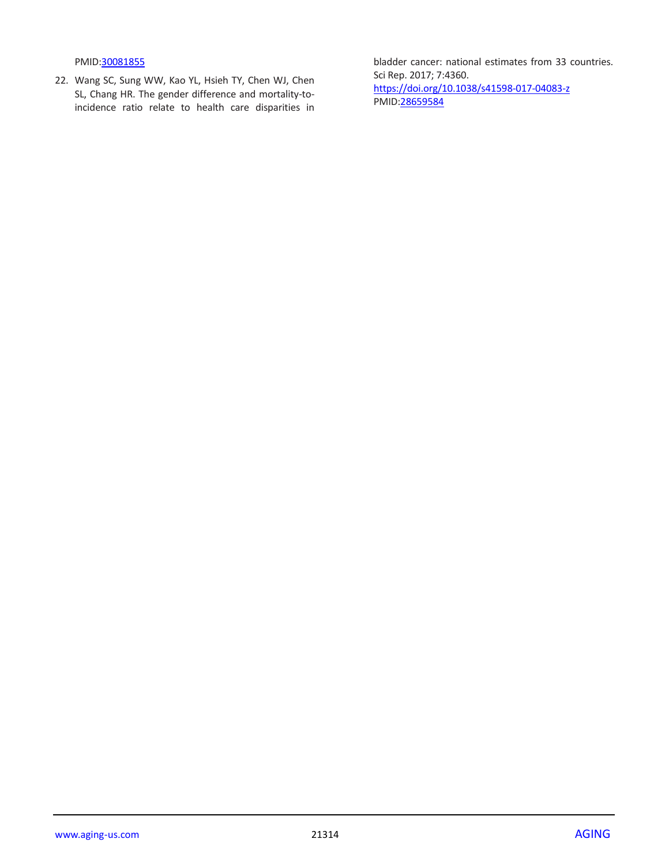PMID[:30081855](https://pubmed.ncbi.nlm.nih.gov/30081855)

22. Wang SC, Sung WW, Kao YL, Hsieh TY, Chen WJ, Chen SL, Chang HR. The gender difference and mortality-toincidence ratio relate to health care disparities in

bladder cancer: national estimates from 33 countries. Sci Rep. 2017; 7:4360. <https://doi.org/10.1038/s41598-017-04083-z> PMI[D:28659584](https://pubmed.ncbi.nlm.nih.gov/28659584)